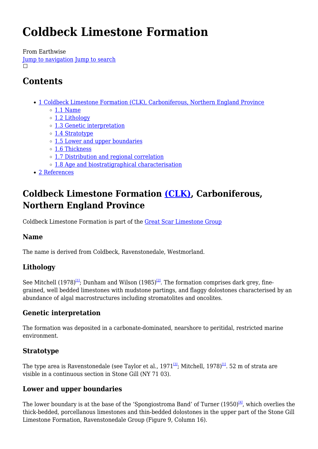# **Coldbeck Limestone Formation**

From Earthwise

[Jump to navigation](#page--1-0) [Jump to search](#page--1-0)  $\Box$ 

## **Contents**

- [1](#Coldbeck_Limestone_Formation_.28CLK.29.2C_Carboniferous.2C_Northern_England_Province) [Coldbeck Limestone Formation \(CLK\), Carboniferous, Northern England Province](#Coldbeck_Limestone_Formation_.28CLK.29.2C_Carboniferous.2C_Northern_England_Province)
	- $\circ$  [1.1](#page--1-0) [Name](#page--1-0)
	- [1.2](#page--1-0) [Lithology](#page--1-0)
	- [1.3](#page--1-0) [Genetic interpretation](#page--1-0)
	- [1.4](#page--1-0) [Stratotype](#page--1-0)
	- [1.5](#page--1-0) [Lower and upper boundaries](#page--1-0)
	- [1.6](#page--1-0) [Thickness](#page--1-0)
	- [1.7](#page--1-0) [Distribution and regional correlation](#page--1-0)
	- [1.8](#page--1-0) [Age and biostratigraphical characterisation](#page--1-0)
- [2](#page--1-0) [References](#page--1-0)

## **Coldbeck Limestone Formation [\(CLK\)](http://www.bgs.ac.uk/lexicon/lexicon.cfm?pub=CLK), Carboniferous, Northern England Province**

Coldbeck Limestone Formation is part of the [Great Scar Limestone Group](http://earthwise.bgs.ac.uk/index.php?title=Great_Scar_Limestone_Group&action=edit&redlink=1)

## **Name**

The name is derived from Coldbeck, Ravenstonedale, Westmorland.

## **Lithology**

See Mitchell (1978)<sup>[\[1\]](#page--1-0)</sup>; Dunham and Wilson (1985)<sup>[\[2\]](#page--1-0)</sup>. The formation comprises dark grey, finegrained, well bedded limestones with mudstone partings, and flaggy dolostones characterised by an abundance of algal macrostructures including stromatolites and oncolites.

## **Genetic interpretation**

The formation was deposited in a carbonate-dominated, nearshore to peritidal, restricted marine environment.

## **Stratotype**

The type area is Ravenstonedale (see Taylor et al.,  $1971^{3}$ ; Mitchell,  $1978^{11}$ . 52 m of strata are visible in a continuous section in Stone Gill (NY 71 03).

## **Lower and upper boundaries**

The lower boundary is at the base of the 'Spongiostroma Band' of Turner (1950)<sup>[\[4\]](#page--1-0)</sup>, which overlies the thick-bedded, porcellanous limestones and thin-bedded dolostones in the upper part of the Stone Gill Limestone Formation, Ravenstonedale Group (Figure 9, Column 16).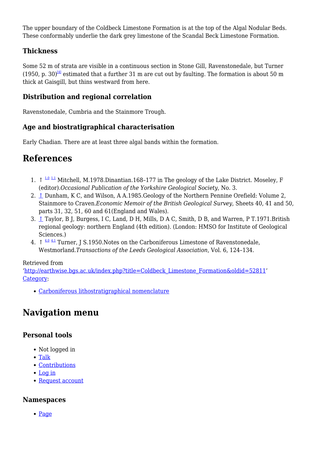The upper boundary of the Coldbeck Limestone Formation is at the top of the Algal Nodular Beds. These conformably underlie the dark grey limestone of the Scandal Beck Limestone Formation.

#### **Thickness**

Some 52 m of strata are visible in a continuous section in Stone Gill, Ravenstonedale, but Turner (1950, p. 30)<sup>[\[4\]](#page--1-0)</sup> estimated that a further 31 m are cut out by faulting. The formation is about 50 m thick at Gaisgill, but thins westward from here.

#### **Distribution and regional correlation**

Ravenstonedale, Cumbria and the Stainmore Trough.

#### **Age and biostratigraphical characterisation**

Early Chadian. There are at least three algal bands within the formation.

## **References**

- 1.  $\uparrow$  <sup>[1.0](#page--1-0) [1.1](#page--1-0)</sup> Mitchell, M.1978.Dinantian.168-177 in The geology of the Lake District. Moseley, F (editor).*Occasional Publication of the Yorkshire Geological Society*, No. 3.
- 2. [↑](#page--1-0) Dunham, K C, and Wilson, A A.1985.Geology of the Northern Pennine Orefield: Volume 2, Stainmore to Craven.*Economic Memoir of the British Geological Survey*, Sheets 40, 41 and 50, parts 31, 32, 51, 60 and 61(England and Wales).
- 3. [↑](#page--1-0) Taylor, B J, Burgess, I C, Land, D H, Mills, D A C, Smith, D B, and Warren, P T.1971.British regional geology: northern England (4th edition). (London: HMSO for Institute of Geological Sciences.)
- 4. ↑ <sup>[4.0](#page--1-0) [4.1](#page--1-0)</sup> Turner, J S.1950. Notes on the Carboniferous Limestone of Ravenstonedale, Westmorland.*Transactions of the Leeds Geological Association*, Vol. 6, 124–134.

#### Retrieved from

'[http://earthwise.bgs.ac.uk/index.php?title=Coldbeck\\_Limestone\\_Formation&oldid=52811](http://earthwise.bgs.ac.uk/index.php?title=Coldbeck_Limestone_Formation&oldid=52811)' [Category](http://earthwise.bgs.ac.uk/index.php/Special:Categories):

[Carboniferous lithostratigraphical nomenclature](http://earthwise.bgs.ac.uk/index.php/Category:Carboniferous_lithostratigraphical_nomenclature)

## **Navigation menu**

#### **Personal tools**

- Not logged in
- [Talk](http://earthwise.bgs.ac.uk/index.php/Special:MyTalk)
- [Contributions](http://earthwise.bgs.ac.uk/index.php/Special:MyContributions)
- [Log in](http://earthwise.bgs.ac.uk/index.php?title=Special:UserLogin&returnto=Coldbeck+Limestone+Formation&returntoquery=action%3Dmpdf)
- [Request account](http://earthwise.bgs.ac.uk/index.php/Special:RequestAccount)

#### **Namespaces**

• [Page](http://earthwise.bgs.ac.uk/index.php/Coldbeck_Limestone_Formation)